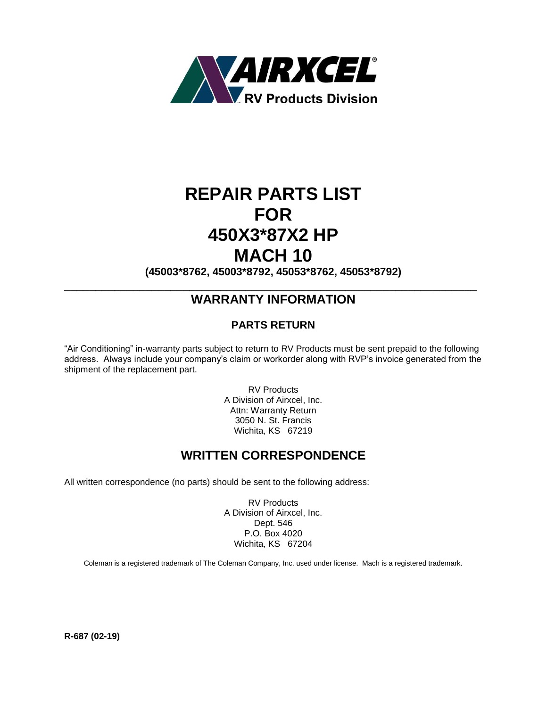

# **REPAIR PARTS LIST FOR 450X3\*87X2 HP MACH 10**

**(45003\*8762, 45003\*8792, 45053\*8762, 45053\*8792)** 

### $\overline{a_1}$  ,  $\overline{a_2}$  ,  $\overline{a_3}$  ,  $\overline{a_4}$  ,  $\overline{a_5}$  ,  $\overline{a_6}$  ,  $\overline{a_7}$  ,  $\overline{a_8}$  ,  $\overline{a_9}$  ,  $\overline{a_9}$  ,  $\overline{a_9}$  ,  $\overline{a_9}$  ,  $\overline{a_9}$  ,  $\overline{a_9}$  ,  $\overline{a_9}$  ,  $\overline{a_9}$  ,  $\overline{a_9}$  , **WARRANTY INFORMATION**

### **PARTS RETURN**

"Air Conditioning" in-warranty parts subject to return to RV Products must be sent prepaid to the following address. Always include your company's claim or workorder along with RVP's invoice generated from the shipment of the replacement part.

> RV Products A Division of Airxcel, Inc. Attn: Warranty Return 3050 N. St. Francis Wichita, KS 67219

### **WRITTEN CORRESPONDENCE**

All written correspondence (no parts) should be sent to the following address:

RV Products A Division of Airxcel, Inc. Dept. 546 P.O. Box 4020 Wichita, KS 67204

Coleman is a registered trademark of The Coleman Company, Inc. used under license. Mach is a registered trademark.

**R-687 (02-19)**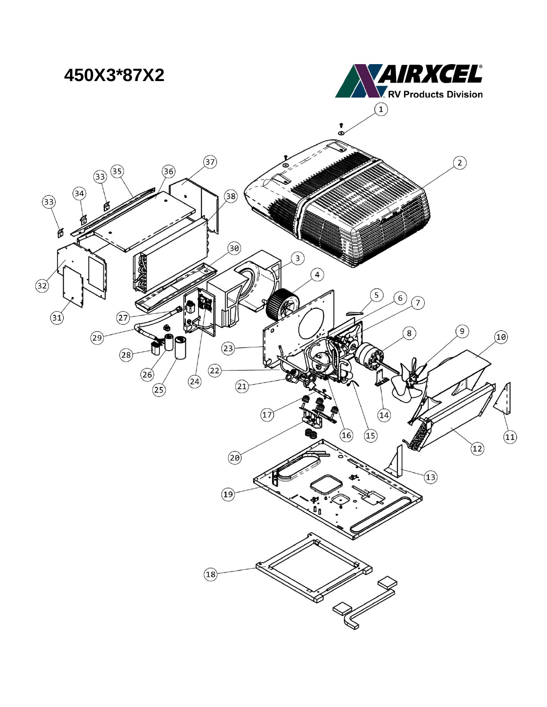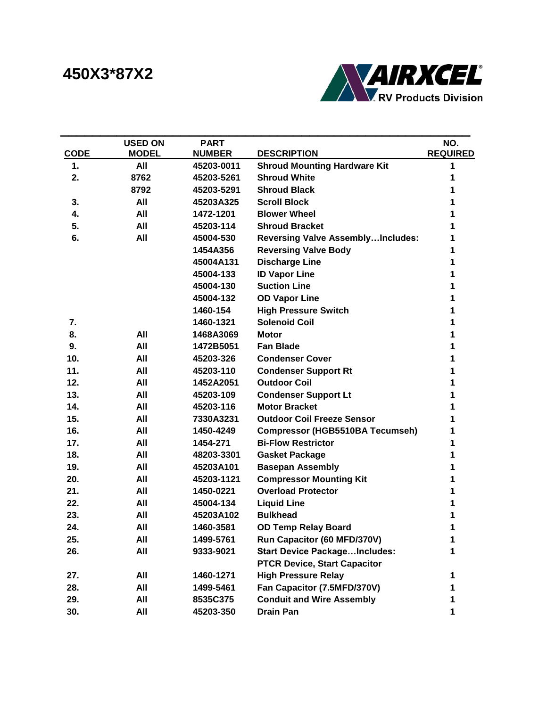## **450X3\*87X2**



|             | <b>USED ON</b> | <b>PART</b>   |                                          | NO.             |
|-------------|----------------|---------------|------------------------------------------|-----------------|
| <b>CODE</b> | <b>MODEL</b>   | <b>NUMBER</b> | <b>DESCRIPTION</b>                       | <b>REQUIRED</b> |
| 1.          | All            | 45203-0011    | <b>Shroud Mounting Hardware Kit</b>      | 1               |
| 2.          | 8762           | 45203-5261    | <b>Shroud White</b>                      | 1               |
|             | 8792           | 45203-5291    | <b>Shroud Black</b>                      | 1               |
| 3.          | All            | 45203A325     | <b>Scroll Block</b>                      | 1               |
| 4.          | All            | 1472-1201     | <b>Blower Wheel</b>                      | 1               |
| 5.          | All            | 45203-114     | <b>Shroud Bracket</b>                    | 1               |
| 6.          | All            | 45004-530     | <b>Reversing Valve AssemblyIncludes:</b> | 1               |
|             |                | 1454A356      | <b>Reversing Valve Body</b>              | 1               |
|             |                | 45004A131     | <b>Discharge Line</b>                    | 1               |
|             |                | 45004-133     | <b>ID Vapor Line</b>                     | 1               |
|             |                | 45004-130     | <b>Suction Line</b>                      | 1               |
|             |                | 45004-132     | <b>OD Vapor Line</b>                     | 1               |
|             |                | 1460-154      | <b>High Pressure Switch</b>              | 1               |
| 7.          |                | 1460-1321     | <b>Solenoid Coil</b>                     | 1               |
| 8.          | All            | 1468A3069     | <b>Motor</b>                             | 1               |
| 9.          | All            | 1472B5051     | <b>Fan Blade</b>                         | 1               |
| 10.         | All            | 45203-326     | <b>Condenser Cover</b>                   | 1               |
| 11.         | All            | 45203-110     | <b>Condenser Support Rt</b>              | 1               |
| 12.         | All            | 1452A2051     | <b>Outdoor Coil</b>                      | 1               |
| 13.         | All            | 45203-109     | <b>Condenser Support Lt</b>              | 1               |
| 14.         | All            | 45203-116     | <b>Motor Bracket</b>                     | 1               |
| 15.         | All            | 7330A3231     | <b>Outdoor Coil Freeze Sensor</b>        | 1               |
| 16.         | All            | 1450-4249     | <b>Compressor (HGB5510BA Tecumseh)</b>   | 1               |
| 17.         | All            | 1454-271      | <b>Bi-Flow Restrictor</b>                | 1               |
| 18.         | All            | 48203-3301    | <b>Gasket Package</b>                    | 1               |
| 19.         | All            | 45203A101     | <b>Basepan Assembly</b>                  | 1               |
| 20.         | All            | 45203-1121    | <b>Compressor Mounting Kit</b>           | 1               |
| 21.         | All            | 1450-0221     | <b>Overload Protector</b>                | 1               |
| 22.         | All            | 45004-134     | <b>Liquid Line</b>                       | 1               |
| 23.         | All            | 45203A102     | <b>Bulkhead</b>                          | 1               |
| 24.         | All            | 1460-3581     | <b>OD Temp Relay Board</b>               | 1               |
| 25.         | All            | 1499-5761     | Run Capacitor (60 MFD/370V)              | 1               |
| 26.         | All            | 9333-9021     | <b>Start Device PackageIncludes:</b>     | 1               |
|             |                |               | <b>PTCR Device, Start Capacitor</b>      |                 |
| 27.         | All            | 1460-1271     | <b>High Pressure Relay</b>               | 1               |
| 28.         | All            | 1499-5461     | Fan Capacitor (7.5MFD/370V)              | 1               |
| 29.         | All            | 8535C375      | <b>Conduit and Wire Assembly</b>         | 1               |
| 30.         | All            | 45203-350     | <b>Drain Pan</b>                         | 1               |